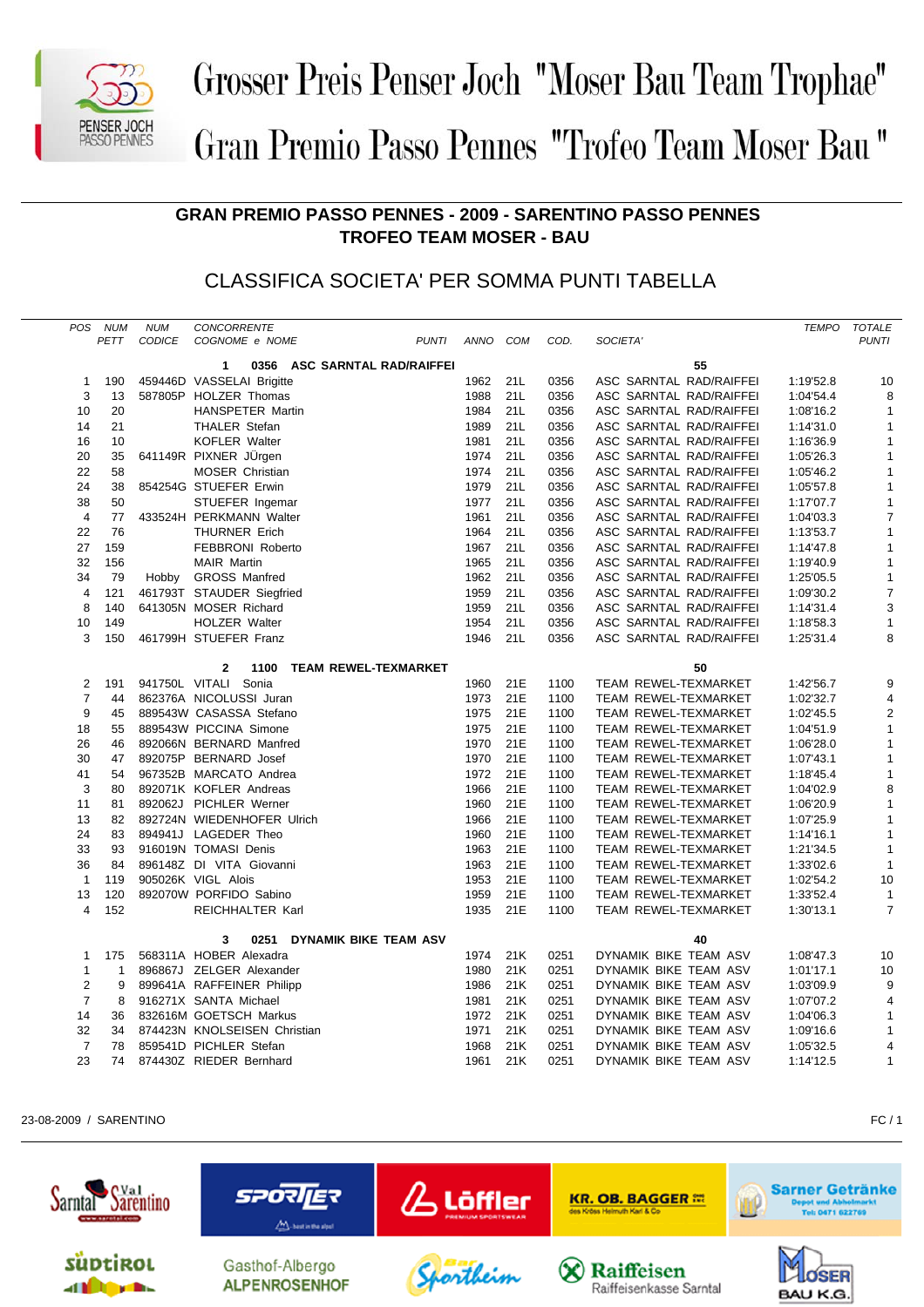

## Grosser Preis Penser Joch "Moser Bau Team Trophae" Gran Premio Passo Pennes "Trofeo Team Moser Bau"

## **GRAN PREMIO PASSO PENNES - 2009 - SARENTINO PASSO PENNES TROFEO TEAM MOSER - BAU**

## CLASSIFICA SOCIETA' PER SOMMA PUNTI TABELLA

| <b>POS</b>                                                  | <b>NUM</b>                   | <b>NUM</b>    | CONCORRENTE                        |      |     |      |                             | <b>TEMPO</b> | <b>TOTALE</b>  |  |  |
|-------------------------------------------------------------|------------------------------|---------------|------------------------------------|------|-----|------|-----------------------------|--------------|----------------|--|--|
|                                                             | PETT                         | <b>CODICE</b> | <b>PUNTI</b><br>COGNOME e NOME     | ANNO | COM | COD. | SOCIETA'                    |              | <b>PUNTI</b>   |  |  |
|                                                             |                              |               | 0356 ASC SARNTAL RAD/RAIFFEI<br>1  |      |     |      | 55                          |              |                |  |  |
|                                                             | 190<br>1                     |               | 459446D VASSELAI Brigitte          | 1962 | 21L | 0356 | ASC SARNTAL RAD/RAIFFEI     | 1:19'52.8    | 10             |  |  |
|                                                             | 3<br>13                      |               | 587805P HOLZER Thomas              | 1988 | 21L | 0356 | ASC SARNTAL RAD/RAIFFEI     | 1:04'54.4    | 8              |  |  |
| 10                                                          | 20                           |               | <b>HANSPETER Martin</b>            | 1984 | 21L | 0356 | ASC SARNTAL RAD/RAIFFEI     | 1:08'16.2    | 1              |  |  |
| 14                                                          | 21                           |               | <b>THALER Stefan</b>               | 1989 | 21L | 0356 | ASC SARNTAL RAD/RAIFFEI     | 1:14'31.0    | 1              |  |  |
| 16                                                          | 10                           |               | <b>KOFLER Walter</b>               | 1981 | 21L | 0356 | ASC SARNTAL RAD/RAIFFEI     | 1:16'36.9    | 1              |  |  |
| 20                                                          | 35                           |               | 641149R PIXNER JÜrgen              | 1974 | 21L | 0356 | ASC SARNTAL RAD/RAIFFEI     | 1:05'26.3    | 1              |  |  |
| 22                                                          | 58                           |               | <b>MOSER Christian</b>             | 1974 | 21L | 0356 | ASC SARNTAL RAD/RAIFFEI     | 1:05'46.2    | 1              |  |  |
| 24                                                          | 38                           |               | 854254G STUEFER Erwin              | 1979 | 21L | 0356 | ASC SARNTAL RAD/RAIFFEI     | 1:05'57.8    | 1              |  |  |
| 38                                                          | 50                           |               | STUEFER Ingemar                    | 1977 | 21L | 0356 | ASC SARNTAL RAD/RAIFFEI     | 1:17'07.7    | $\mathbf{1}$   |  |  |
|                                                             | $\overline{4}$<br>77         |               | 433524H PERKMANN Walter            | 1961 | 21L | 0356 | ASC SARNTAL RAD/RAIFFEI     | 1:04'03.3    | $\overline{7}$ |  |  |
| 22                                                          | 76                           |               | <b>THURNER Erich</b>               | 1964 | 21L | 0356 | ASC SARNTAL RAD/RAIFFEI     | 1:13'53.7    | 1              |  |  |
| 27                                                          | 159                          |               | <b>FEBBRONI Roberto</b>            | 1967 | 21L | 0356 | ASC SARNTAL RAD/RAIFFEI     | 1:14'47.8    | 1              |  |  |
| 32                                                          | 156                          |               | <b>MAIR Martin</b>                 | 1965 | 21L | 0356 | ASC SARNTAL RAD/RAIFFEI     | 1:19'40.9    | 1              |  |  |
| 34                                                          | 79                           | Hobby         | <b>GROSS Manfred</b>               | 1962 | 21L | 0356 | ASC SARNTAL RAD/RAIFFEI     | 1:25'05.5    | 1              |  |  |
|                                                             | $\overline{4}$<br>121        |               | 461793T STAUDER Siegfried          | 1959 | 21L | 0356 | ASC SARNTAL RAD/RAIFFEI     | 1:09'30.2    | 7              |  |  |
|                                                             | 8<br>140                     |               | 641305N MOSER Richard              | 1959 | 21L | 0356 | ASC SARNTAL RAD/RAIFFEI     | 1:14'31.4    | 3              |  |  |
| 10                                                          | 149                          |               | HOLZER Walter                      | 1954 | 21L | 0356 | ASC SARNTAL RAD/RAIFFEI     | 1:18'58.3    | $\mathbf{1}$   |  |  |
|                                                             | 3<br>150                     |               | 461799H STUEFER Franz              | 1946 | 21L | 0356 | ASC SARNTAL RAD/RAIFFEI     | 1:25'31.4    | 8              |  |  |
| <b>TEAM REWEL-TEXMARKET</b><br>50<br>$\overline{2}$<br>1100 |                              |               |                                    |      |     |      |                             |              |                |  |  |
|                                                             | $\overline{2}$<br>191        |               | 941750L VITALI Sonia               | 1960 | 21E | 1100 | TEAM REWEL-TEXMARKET        | 1:42'56.7    | 9              |  |  |
|                                                             | $\overline{7}$<br>44         |               | 862376A NICOLUSSI Juran            | 1973 | 21E | 1100 | <b>TEAM REWEL-TEXMARKET</b> | 1:02'32.7    | 4              |  |  |
|                                                             | 9<br>45                      |               | 889543W CASASSA Stefano            | 1975 | 21E | 1100 | <b>TEAM REWEL-TEXMARKET</b> | 1:02'45.5    | $\overline{2}$ |  |  |
| 18                                                          | 55                           |               | 889543W PICCINA Simone             | 1975 | 21E | 1100 | TEAM REWEL-TEXMARKET        | 1:04'51.9    | $\mathbf{1}$   |  |  |
| 26                                                          | 46                           |               | 892066N BERNARD Manfred            | 1970 | 21E | 1100 | TEAM REWEL-TEXMARKET        | 1:06'28.0    | $\mathbf{1}$   |  |  |
| 30                                                          | 47                           |               | 892075P BERNARD Josef              | 1970 | 21E | 1100 | TEAM REWEL-TEXMARKET        | 1:07'43.1    | $\mathbf{1}$   |  |  |
| 41                                                          | 54                           |               | 967352B MARCATO Andrea             | 1972 | 21E | 1100 | TEAM REWEL-TEXMARKET        | 1:18'45.4    | $\mathbf{1}$   |  |  |
|                                                             | 3<br>80                      |               | 892071K KOFLER Andreas             | 1966 | 21E | 1100 | <b>TEAM REWEL-TEXMARKET</b> | 1:04'02.9    | 8              |  |  |
| 11                                                          | 81                           |               | 892062J PICHLER Werner             | 1960 | 21E | 1100 | TEAM REWEL-TEXMARKET        | 1:06'20.9    | $\mathbf{1}$   |  |  |
| 13                                                          | 82                           |               | 892724N WIEDENHOFER Ulrich         | 1966 | 21E | 1100 | TEAM REWEL-TEXMARKET        | 1:07'25.9    | 1              |  |  |
| 24                                                          | 83                           |               | 894941J LAGEDER Theo               | 1960 | 21E | 1100 | TEAM REWEL-TEXMARKET        | 1:14'16.1    | 1              |  |  |
| 33                                                          | 93                           |               | 916019N TOMASI Denis               | 1963 | 21E | 1100 | <b>TEAM REWEL-TEXMARKET</b> | 1:21'34.5    | 1              |  |  |
| 36                                                          | 84                           |               | 896148Z DI VITA Giovanni           | 1963 | 21E | 1100 | <b>TEAM REWEL-TEXMARKET</b> | 1:33'02.6    | $\mathbf{1}$   |  |  |
|                                                             | $\mathbf{1}$<br>119          |               | 905026K VIGL Alois                 | 1953 | 21E | 1100 | <b>TEAM REWEL-TEXMARKET</b> | 1:02'54.2    | 10             |  |  |
| 13                                                          | 120                          |               | 892070W PORFIDO Sabino             | 1959 | 21E | 1100 | TEAM REWEL-TEXMARKET        | 1:33'52.4    | $\mathbf{1}$   |  |  |
|                                                             | 152<br>$\overline{4}$        |               | REICHHALTER Karl                   | 1935 | 21E | 1100 | TEAM REWEL-TEXMARKET        | 1:30'13.1    | $\overline{7}$ |  |  |
|                                                             |                              |               | 3<br>0251<br>DYNAMIK BIKE TEAM ASV |      |     |      | 40                          |              |                |  |  |
|                                                             | 175<br>1                     |               | 568311A HOBER Alexadra             | 1974 | 21K | 0251 | DYNAMIK BIKE TEAM ASV       | 1:08'47.3    | 10             |  |  |
|                                                             | $\mathbf{1}$<br>$\mathbf{1}$ |               | 896867J ZELGER Alexander           | 1980 | 21K | 0251 | DYNAMIK BIKE TEAM ASV       | 1:01'17.1    | 10             |  |  |
|                                                             | $\overline{2}$<br>9          |               | 899641A RAFFEINER Philipp          | 1986 | 21K | 0251 | DYNAMIK BIKE TEAM ASV       | 1:03'09.9    | 9              |  |  |
|                                                             | $\overline{7}$<br>8          |               | 916271X SANTA Michael              | 1981 | 21K | 0251 | DYNAMIK BIKE TEAM ASV       | 1:07'07.2    | 4              |  |  |
| 14                                                          | 36                           |               | 832616M GOETSCH Markus             | 1972 | 21K | 0251 | DYNAMIK BIKE TEAM ASV       | 1:04'06.3    | $\mathbf{1}$   |  |  |
| 32                                                          | 34                           |               | 874423N KNOLSEISEN Christian       | 1971 | 21K | 0251 | DYNAMIK BIKE TEAM ASV       | 1:09'16.6    | $\mathbf{1}$   |  |  |
|                                                             | $\overline{7}$<br>78         |               | 859541D PICHLER Stefan             | 1968 | 21K | 0251 | DYNAMIK BIKE TEAM ASV       | 1:05'32.5    | 4              |  |  |
| 23                                                          | 74                           |               | 874430Z RIEDER Bernhard            | 1961 | 21K | 0251 | DYNAMIK BIKE TEAM ASV       | 1:14'12.5    | $\mathbf{1}$   |  |  |

23-08-2009 / SARENTINO FC / 1

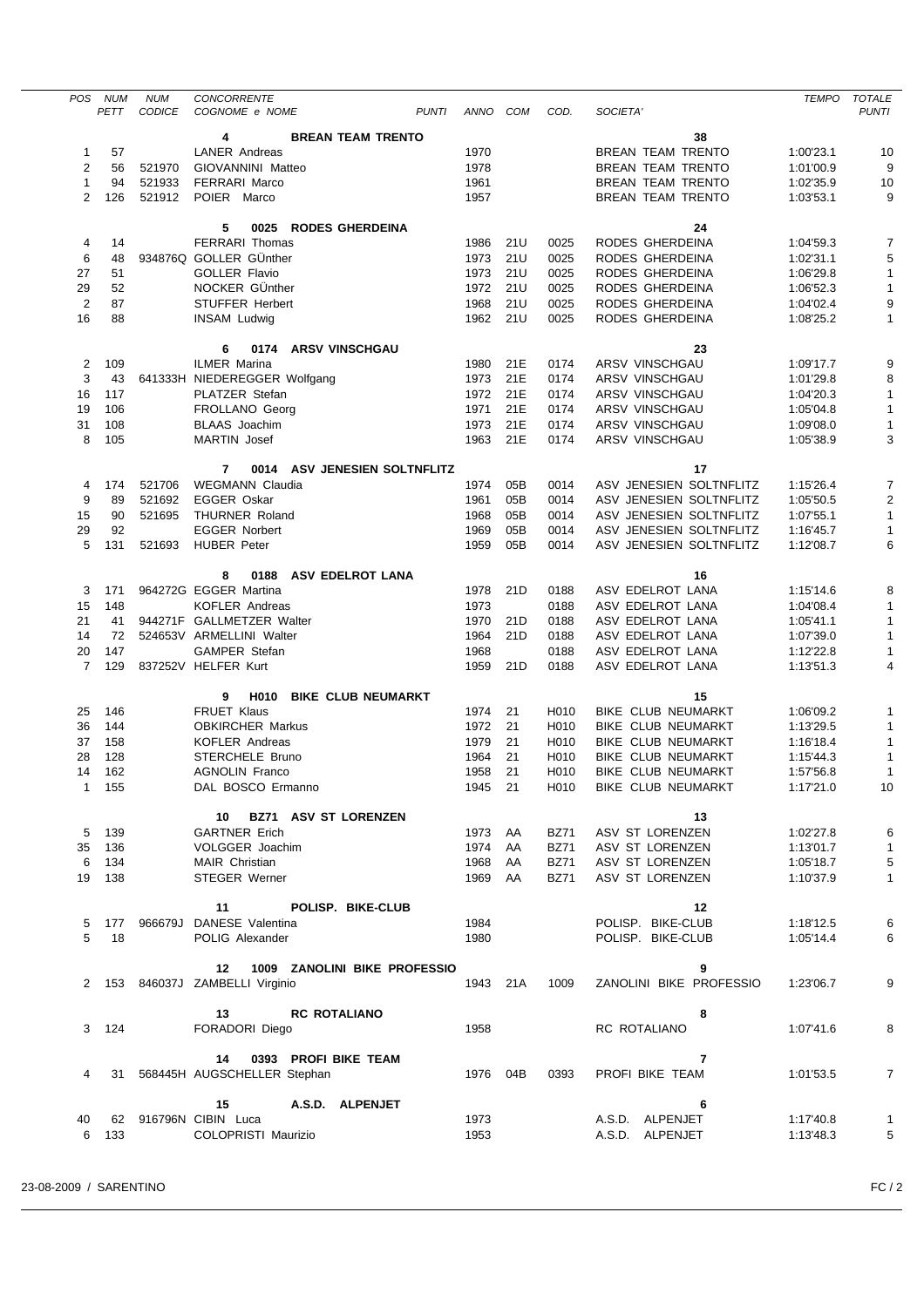| POS                     | NUM                                                                                                 | <b>NUM</b>                                                             | <b>CONCORRENTE</b>                                  |          |     |                   |                           | <b>TEMPO</b> | <b>TOTALE</b>  |  |  |  |
|-------------------------|-----------------------------------------------------------------------------------------------------|------------------------------------------------------------------------|-----------------------------------------------------|----------|-----|-------------------|---------------------------|--------------|----------------|--|--|--|
|                         | CODICE<br><b>PUNTI</b><br>COD.<br><b>PUNTI</b><br>PETT<br>COGNOME e NOME<br>ANNO<br>COM<br>SOCIETA' |                                                                        |                                                     |          |     |                   |                           |              |                |  |  |  |
|                         |                                                                                                     |                                                                        | 4<br><b>BREAN TEAM TRENTO</b>                       |          |     |                   | 38                        |              |                |  |  |  |
| 1                       | 57                                                                                                  |                                                                        | <b>LANER Andreas</b>                                | 1970     |     |                   | <b>BREAN TEAM TRENTO</b>  | 1:00'23.1    | 10             |  |  |  |
|                         |                                                                                                     |                                                                        |                                                     |          |     |                   |                           |              |                |  |  |  |
| 2                       | 56                                                                                                  | 521970                                                                 | GIOVANNINI Matteo                                   | 1978     |     |                   | <b>BREAN TEAM TRENTO</b>  | 1:01'00.9    | 9              |  |  |  |
| $\mathbf{1}$            | 94                                                                                                  | 521933                                                                 | <b>FERRARI Marco</b>                                | 1961     |     |                   | <b>BREAN TEAM TRENTO</b>  | 1:02'35.9    | 10<br>9        |  |  |  |
| $\overline{2}$          | 126                                                                                                 | 521912<br>POIER Marco<br>1957<br><b>BREAN TEAM TRENTO</b><br>1:03'53.1 |                                                     |          |     |                   |                           |              |                |  |  |  |
|                         |                                                                                                     |                                                                        |                                                     |          |     |                   |                           |              |                |  |  |  |
|                         |                                                                                                     |                                                                        | <b>RODES GHERDEINA</b><br>5<br>0025                 |          |     |                   | 24                        |              |                |  |  |  |
| 4                       | 14                                                                                                  |                                                                        | FERRARI Thomas                                      | 1986     | 21U | 0025              | RODES GHERDEINA           | 1:04'59.3    | 7              |  |  |  |
| 6                       | 48                                                                                                  |                                                                        | 934876Q GOLLER GÜnther                              | 1973     | 21U | 0025              | RODES GHERDEINA           | 1:02'31.1    | 5              |  |  |  |
| 27                      | 51                                                                                                  |                                                                        | <b>GOLLER Flavio</b>                                | 1973     | 21U | 0025              | RODES GHERDEINA           | 1:06'29.8    | $\mathbf{1}$   |  |  |  |
| 29                      | 52                                                                                                  |                                                                        | NOCKER GÜnther                                      | 1972     | 21U | 0025              | RODES GHERDEINA           | 1:06'52.3    | 1              |  |  |  |
| $\overline{\mathbf{c}}$ | 87                                                                                                  |                                                                        | <b>STUFFER Herbert</b>                              | 1968     | 21U | 0025              | RODES GHERDEINA           | 1:04'02.4    | 9              |  |  |  |
| 16                      | 88                                                                                                  |                                                                        | <b>INSAM Ludwig</b>                                 | 1962 21U |     | 0025              | RODES GHERDEINA           | 1:08'25.2    | $\mathbf{1}$   |  |  |  |
|                         |                                                                                                     |                                                                        |                                                     |          |     |                   |                           |              |                |  |  |  |
|                         |                                                                                                     |                                                                        | <b>ARSV VINSCHGAU</b><br>6<br>0174                  |          |     |                   | 23                        |              |                |  |  |  |
|                         |                                                                                                     |                                                                        | <b>ILMER Marina</b>                                 |          | 21E | 0174              | ARSV VINSCHGAU            |              | 9              |  |  |  |
| 2                       | 109                                                                                                 |                                                                        |                                                     | 1980     |     |                   |                           | 1:09'17.7    |                |  |  |  |
| 3                       | 43                                                                                                  |                                                                        | 641333H NIEDEREGGER Wolfgang                        | 1973     | 21E | 0174              | ARSV VINSCHGAU            | 1:01'29.8    | 8              |  |  |  |
| 16                      | 117                                                                                                 |                                                                        | <b>PLATZER Stefan</b>                               | 1972     | 21E | 0174              | <b>ARSV VINSCHGAU</b>     | 1:04'20.3    | $\mathbf{1}$   |  |  |  |
| 19                      | 106                                                                                                 |                                                                        | FROLLANO Georg                                      | 1971     | 21E | 0174              | ARSV VINSCHGAU            | 1:05'04.8    | 1              |  |  |  |
| 31                      | 108                                                                                                 |                                                                        | <b>BLAAS</b> Joachim                                | 1973     | 21E | 0174              | <b>ARSV VINSCHGAU</b>     | 1:09'08.0    | $\mathbf{1}$   |  |  |  |
| 8                       | 105                                                                                                 |                                                                        | <b>MARTIN</b> Josef                                 | 1963     | 21E | 0174              | <b>ARSV VINSCHGAU</b>     | 1:05'38.9    | 3              |  |  |  |
|                         |                                                                                                     |                                                                        |                                                     |          |     |                   |                           |              |                |  |  |  |
|                         |                                                                                                     |                                                                        | 7<br>0014 ASV JENESIEN SOLTNFLITZ                   |          |     |                   | 17                        |              |                |  |  |  |
| 4                       | 174                                                                                                 | 521706                                                                 | <b>WEGMANN Claudia</b>                              | 1974     | 05B | 0014              | ASV JENESIEN SOLTNFLITZ   | 1:15'26.4    | 7              |  |  |  |
| 9                       | 89                                                                                                  | 521692                                                                 | <b>EGGER Oskar</b>                                  | 1961     | 05B | 0014              | ASV JENESIEN SOLTNFLITZ   | 1:05'50.5    | 2              |  |  |  |
| 15                      | 90                                                                                                  | 521695                                                                 | <b>THURNER Roland</b>                               | 1968     | 05B | 0014              | ASV JENESIEN SOLTNFLITZ   | 1:07'55.1    | $\mathbf{1}$   |  |  |  |
| 29                      | 92                                                                                                  |                                                                        | <b>EGGER Norbert</b>                                | 1969     | 05B | 0014              | ASV JENESIEN SOLTNFLITZ   | 1:16'45.7    | $\mathbf{1}$   |  |  |  |
| 5                       | 131                                                                                                 | 521693                                                                 | <b>HUBER Peter</b>                                  | 1959     | 05B | 0014              | ASV JENESIEN SOLTNFLITZ   | 1:12'08.7    | 6              |  |  |  |
|                         |                                                                                                     |                                                                        |                                                     |          |     |                   |                           |              |                |  |  |  |
|                         |                                                                                                     |                                                                        |                                                     |          |     |                   |                           |              |                |  |  |  |
|                         |                                                                                                     |                                                                        | <b>ASV EDELROT LANA</b><br>8<br>0188                |          |     |                   | 16                        |              |                |  |  |  |
| 3                       | 171                                                                                                 |                                                                        | 964272G EGGER Martina                               | 1978     | 21D | 0188              | ASV EDELROT LANA          | 1:15'14.6    | 8              |  |  |  |
| 15                      | 148                                                                                                 |                                                                        | <b>KOFLER Andreas</b>                               | 1973     |     | 0188              | ASV EDELROT LANA          | 1:04'08.4    | $\mathbf{1}$   |  |  |  |
| 21                      | 41                                                                                                  |                                                                        | 944271F GALLMETZER Walter                           | 1970     | 21D | 0188              | ASV EDELROT LANA          | 1:05'41.1    | 1              |  |  |  |
| 14                      | 72                                                                                                  |                                                                        | 524653V ARMELLINI Walter                            | 1964     | 21D | 0188              | ASV EDELROT LANA          | 1:07'39.0    | $\mathbf{1}$   |  |  |  |
| 20                      | 147                                                                                                 |                                                                        | <b>GAMPER Stefan</b>                                | 1968     |     | 0188              | ASV EDELROT LANA          | 1:12'22.8    | 1              |  |  |  |
| 7                       | 129                                                                                                 |                                                                        | 837252V HELFER Kurt                                 | 1959     | 21D | 0188              | ASV EDELROT LANA          | 1:13'51.3    | 4              |  |  |  |
|                         |                                                                                                     |                                                                        |                                                     |          |     |                   |                           |              |                |  |  |  |
|                         |                                                                                                     |                                                                        | 9<br>H <sub>0</sub> 10<br><b>BIKE CLUB NEUMARKT</b> |          |     |                   | 15                        |              |                |  |  |  |
| 25                      | 146                                                                                                 |                                                                        | <b>FRUET Klaus</b>                                  | 1974     | 21  | H010              | <b>BIKE CLUB NEUMARKT</b> | 1:06'09.2    | 1              |  |  |  |
| 36                      | 144                                                                                                 |                                                                        | <b>OBKIRCHER Markus</b>                             | 1972     | 21  | H <sub>0</sub> 10 | <b>BIKE CLUB NEUMARKT</b> | 1:13'29.5    | 1              |  |  |  |
| 37                      | 158                                                                                                 |                                                                        | <b>KOFLER Andreas</b>                               | 1979     | 21  | H <sub>0</sub> 10 | <b>BIKE CLUB NEUMARKT</b> | 1:16'18.4    | 1              |  |  |  |
| 28                      | 128                                                                                                 |                                                                        | STERCHELE Bruno                                     | 1964     | 21  | H010              | <b>BIKE CLUB NEUMARKT</b> | 1:15'44.3    | 1              |  |  |  |
| 14                      | 162                                                                                                 |                                                                        | <b>AGNOLIN Franco</b>                               | 1958     | 21  | H010              | <b>BIKE CLUB NEUMARKT</b> | 1:57'56.8    | $\mathbf{1}$   |  |  |  |
|                         |                                                                                                     |                                                                        |                                                     |          |     |                   |                           |              |                |  |  |  |
|                         | 1 155                                                                                               |                                                                        | DAL BOSCO Ermanno                                   | 1945 21  |     | H010              | BIKE CLUB NEUMARKT        | 1:17'21.0    | 10             |  |  |  |
|                         |                                                                                                     |                                                                        |                                                     |          |     |                   |                           |              |                |  |  |  |
|                         |                                                                                                     |                                                                        | 10 BZ71 ASV ST LORENZEN                             |          |     |                   | 13                        |              |                |  |  |  |
| 5                       | 139                                                                                                 |                                                                        | <b>GARTNER Erich</b>                                | 1973 AA  |     | <b>BZ71</b>       | ASV ST LORENZEN           | 1:02'27.8    | 6              |  |  |  |
| 35                      | 136                                                                                                 |                                                                        | VOLGGER Joachim                                     | 1974 AA  |     | <b>BZ71</b>       | ASV ST LORENZEN           | 1:13'01.7    | $\mathbf{1}$   |  |  |  |
| 6                       | 134                                                                                                 |                                                                        | <b>MAIR Christian</b>                               | 1968 AA  |     | BZ71              | ASV ST LORENZEN           | 1:05'18.7    | 5              |  |  |  |
| 19                      | 138                                                                                                 |                                                                        | STEGER Werner                                       | 1969 AA  |     | BZ71              | ASV ST LORENZEN           | 1:10'37.9    | $\mathbf{1}$   |  |  |  |
|                         |                                                                                                     |                                                                        |                                                     |          |     |                   |                           |              |                |  |  |  |
|                         |                                                                                                     |                                                                        | 11<br>POLISP. BIKE-CLUB                             |          |     |                   | 12                        |              |                |  |  |  |
| 5                       |                                                                                                     |                                                                        | 177 966679J DANESE Valentina                        | 1984     |     |                   | POLISP. BIKE-CLUB         | 1:18'12.5    | 6              |  |  |  |
| 5                       | 18                                                                                                  |                                                                        | POLIG Alexander                                     | 1980     |     |                   | POLISP. BIKE-CLUB         | 1:05'14.4    | 6              |  |  |  |
|                         |                                                                                                     |                                                                        |                                                     |          |     |                   |                           |              |                |  |  |  |
|                         |                                                                                                     |                                                                        | 12 1009 ZANOLINI BIKE PROFESSIO                     |          |     |                   | 9                         |              |                |  |  |  |
|                         |                                                                                                     |                                                                        | 2 153 846037J ZAMBELLI Virginio                     | 1943 21A |     | 1009              | ZANOLINI BIKE PROFESSIO   | 1:23'06.7    | 9              |  |  |  |
|                         |                                                                                                     |                                                                        |                                                     |          |     |                   |                           |              |                |  |  |  |
|                         |                                                                                                     |                                                                        |                                                     |          |     |                   |                           |              |                |  |  |  |
|                         |                                                                                                     |                                                                        | <b>RC ROTALIANO</b><br>13                           |          |     |                   | 8                         |              |                |  |  |  |
| 3                       | 124                                                                                                 |                                                                        | FORADORI Diego                                      | 1958     |     |                   | RC ROTALIANO              | 1:07'41.6    | 8              |  |  |  |
|                         |                                                                                                     |                                                                        |                                                     |          |     |                   |                           |              |                |  |  |  |
|                         |                                                                                                     |                                                                        | 14 0393 PROFI BIKE TEAM                             |          |     |                   | 7                         |              |                |  |  |  |
| 4                       |                                                                                                     |                                                                        | 31 568445H AUGSCHELLER Stephan                      | 1976 04B |     | 0393              | PROFI BIKE TEAM           | 1:01'53.5    | $\overline{7}$ |  |  |  |
|                         |                                                                                                     |                                                                        |                                                     |          |     |                   |                           |              |                |  |  |  |
|                         |                                                                                                     |                                                                        | 15 A.S.D. ALPENJET                                  |          |     |                   | 6                         |              |                |  |  |  |
| 40                      | 62                                                                                                  |                                                                        | 916796N CIBIN Luca                                  | 1973     |     |                   | A.S.D. ALPENJET           | 1:17'40.8    | 1              |  |  |  |
| 6                       | 133                                                                                                 |                                                                        | COLOPRISTI Maurizio                                 | 1953     |     |                   | A.S.D. ALPENJET           | 1:13'48.3    | 5              |  |  |  |
|                         |                                                                                                     |                                                                        |                                                     |          |     |                   |                           |              |                |  |  |  |

 $\sim$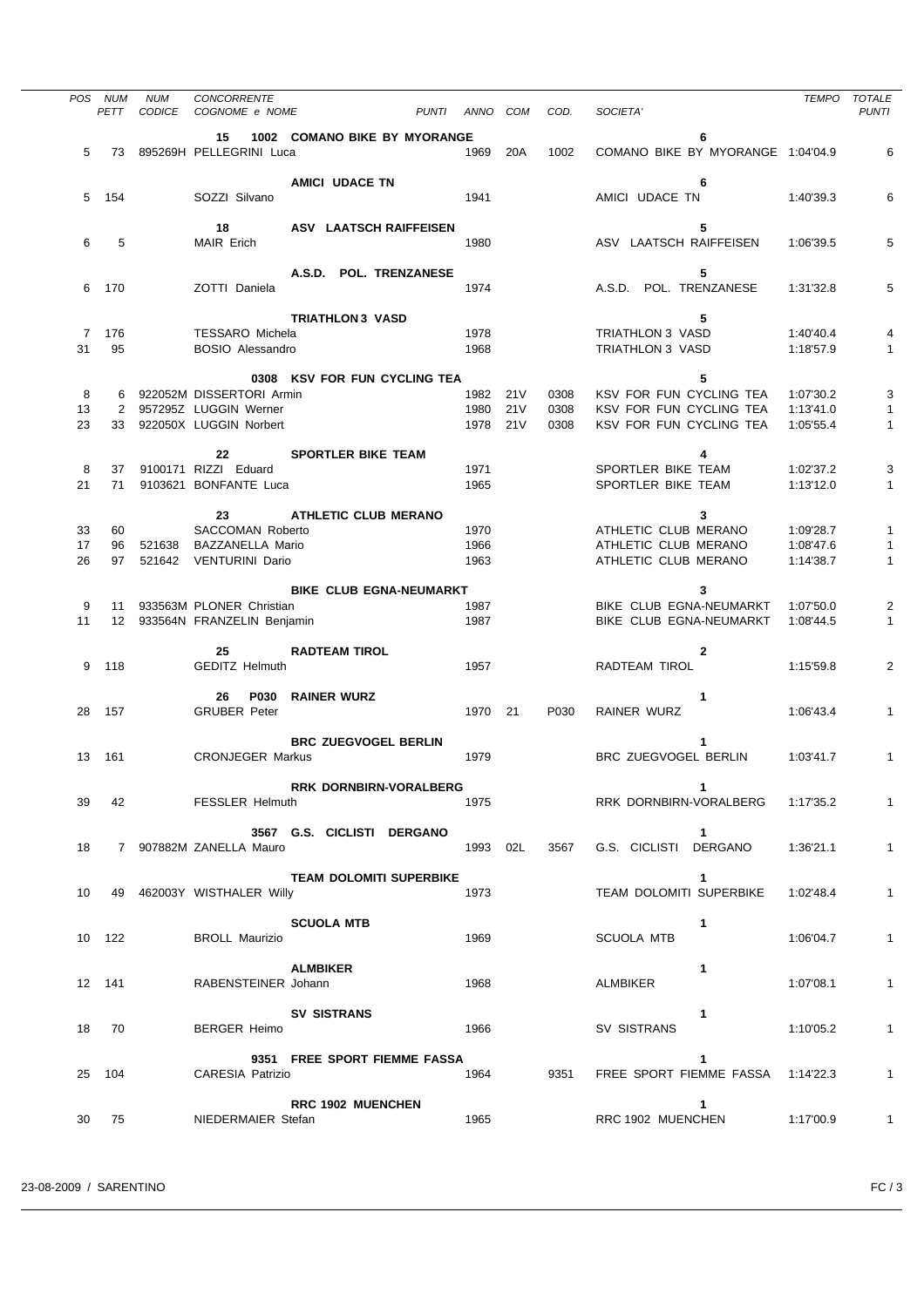|    | POS NUM<br>PETT | <b>NUM</b><br>CODICE | CONCORRENTE<br>COGNOME e NOME                                 | PUNTI<br>ANNO | COM | COD. | SOCIETA'                               | TEMPO     | <b>TOTALE</b><br><b>PUNTI</b> |
|----|-----------------|----------------------|---------------------------------------------------------------|---------------|-----|------|----------------------------------------|-----------|-------------------------------|
|    |                 |                      |                                                               |               |     |      |                                        |           |                               |
| 5  | 73              |                      | 1002 COMANO BIKE BY MYORANGE<br>15<br>895269H PELLEGRINI Luca | 1969          | 20A | 1002 | 6<br>COMANO BIKE BY MYORANGE 1:04'04.9 |           | 6                             |
|    |                 |                      | AMICI UDACE TN                                                |               |     |      | 6                                      |           |                               |
| 5  | 154             |                      | SOZZI Silvano                                                 | 1941          |     |      | AMICI UDACE TN                         | 1:40'39.3 | 6                             |
|    |                 |                      | 18                                                            |               |     |      | 5                                      |           |                               |
| 6  | 5               |                      | ASV LAATSCH RAIFFEISEN<br><b>MAIR Erich</b>                   | 1980          |     |      | ASV LAATSCH RAIFFEISEN                 | 1:06'39.5 | 5                             |
|    |                 |                      | A.S.D. POL. TRENZANESE                                        |               |     |      | 5                                      |           |                               |
| 6  | 170             |                      | ZOTTI Daniela                                                 | 1974          |     |      | A.S.D. POL. TRENZANESE                 | 1:31'32.8 | 5                             |
|    |                 |                      | <b>TRIATHLON3 VASD</b>                                        |               |     |      | 5                                      |           |                               |
| 7  | 176             |                      | <b>TESSARO Michela</b>                                        | 1978          |     |      | TRIATHLON 3 VASD                       | 1:40'40.4 | 4                             |
| 31 | 95              |                      | <b>BOSIO Alessandro</b>                                       | 1968          |     |      | TRIATHLON 3 VASD                       | 1:18'57.9 | 1                             |
|    |                 |                      |                                                               |               |     |      |                                        |           |                               |
|    |                 |                      | 0308 KSV FOR FUN CYCLING TEA                                  |               |     |      | 5                                      |           |                               |
| 8  | 6               |                      | 922052M DISSERTORI Armin                                      | 1982 21V      |     | 0308 | KSV FOR FUN CYCLING TEA                | 1:07'30.2 | 3                             |
| 13 |                 |                      | 2 957295Z LUGGIN Werner                                       | 1980          | 21V | 0308 | KSV FOR FUN CYCLING TEA                | 1:13'41.0 | 1                             |
|    |                 |                      |                                                               |               |     |      |                                        |           |                               |
| 23 | 33              |                      | 922050X LUGGIN Norbert                                        | 1978 21V      |     | 0308 | KSV FOR FUN CYCLING TEA                | 1:05'55.4 | 1                             |
|    |                 |                      |                                                               |               |     |      |                                        |           |                               |
|    |                 |                      | <b>SPORTLER BIKE TEAM</b><br>22                               |               |     |      | 4                                      |           |                               |
| 8  | 37              |                      | 9100171 RIZZI Eduard                                          | 1971          |     |      | SPORTLER BIKE TEAM                     | 1:02'37.2 | 3                             |
| 21 | 71              |                      | 9103621 BONFANTE Luca                                         | 1965          |     |      | SPORTLER BIKE TEAM                     | 1:13'12.0 | $\mathbf{1}$                  |
|    |                 |                      |                                                               |               |     |      |                                        |           |                               |
|    |                 |                      | <b>ATHLETIC CLUB MERANO</b><br>23                             |               |     |      | 3                                      |           |                               |
| 33 | 60              |                      | <b>SACCOMAN Roberto</b>                                       | 1970          |     |      | ATHLETIC CLUB MERANO                   | 1:09'28.7 | 1                             |
| 17 | 96              |                      | 521638 BAZZANELLA Mario                                       | 1966          |     |      | ATHLETIC CLUB MERANO                   | 1:08'47.6 | 1                             |
| 26 | 97              | 521642               | <b>VENTURINI Dario</b>                                        | 1963          |     |      | ATHLETIC CLUB MERANO                   | 1:14'38.7 | 1                             |
|    |                 |                      |                                                               |               |     |      |                                        |           |                               |
|    |                 |                      | <b>BIKE CLUB EGNA-NEUMARKT</b>                                |               |     |      | 3                                      |           |                               |
| 9  | 11              |                      | 933563M PLONER Christian                                      | 1987          |     |      | BIKE CLUB EGNA-NEUMARKT                | 1:07'50.0 | 2                             |
| 11 |                 |                      | 12 933564N FRANZELIN Benjamin                                 | 1987          |     |      | BIKE CLUB EGNA-NEUMARKT                | 1:08'44.5 | $\mathbf{1}$                  |
|    |                 |                      | 25<br><b>RADTEAM TIROL</b>                                    |               |     |      | $\mathbf{2}$                           |           |                               |
| 9  | 118             |                      | <b>GEDITZ Helmuth</b>                                         | 1957          |     |      | RADTEAM TIROL                          | 1:15'59.8 | 2                             |
|    |                 |                      |                                                               |               |     |      |                                        |           |                               |
|    |                 |                      | <b>P030</b><br><b>RAINER WURZ</b><br>26                       |               |     |      | 1                                      |           |                               |
| 28 | 157             |                      | <b>GRUBER Peter</b>                                           | 1970 21       |     | P030 | RAINER WURZ                            | 1:06'43.4 | $\mathbf{1}$                  |
|    |                 |                      |                                                               |               |     |      |                                        |           |                               |
|    |                 |                      | <b>BRC ZUEGVOGEL BERLIN</b>                                   |               |     |      | 1                                      |           |                               |
|    | 13 161          |                      | <b>CRONJEGER Markus</b>                                       | 1979          |     |      | BRC ZUEGVOGEL BERLIN                   | 1:03'41.7 | 1                             |
|    |                 |                      |                                                               |               |     |      |                                        |           |                               |
|    |                 |                      | <b>RRK DORNBIRN-VORALBERG</b>                                 |               |     |      | 1                                      |           |                               |
| 39 | 42              |                      | <b>FESSLER Helmuth</b>                                        | 1975          |     |      | RRK DORNBIRN-VORALBERG                 | 1:17'35.2 | $\mathbf{1}$                  |
|    |                 |                      |                                                               |               |     |      |                                        |           |                               |
|    |                 |                      | 3567 G.S. CICLISTI DERGANO                                    |               |     |      | $\mathbf 1$                            |           |                               |
| 18 |                 |                      | 7 907882M ZANELLA Mauro                                       | 1993 02L      |     | 3567 | G.S. CICLISTI DERGANO                  | 1:36'21.1 | $\mathbf{1}$                  |
|    |                 |                      |                                                               |               |     |      |                                        |           |                               |
|    |                 |                      | <b>TEAM DOLOMITI SUPERBIKE</b>                                |               |     |      | 1                                      |           |                               |
| 10 |                 |                      | 49 462003Y WISTHALER Willy                                    | 1973          |     |      | TEAM DOLOMITI SUPERBIKE                | 1:02'48.4 | $\mathbf{1}$                  |
|    |                 |                      |                                                               |               |     |      |                                        |           |                               |
|    |                 |                      | <b>SCUOLA MTB</b>                                             |               |     |      | 1                                      |           |                               |
|    | 10 122          |                      | <b>BROLL Maurizio</b>                                         | 1969          |     |      | <b>SCUOLA MTB</b>                      | 1:06'04.7 | $\mathbf{1}$                  |
|    |                 |                      |                                                               |               |     |      |                                        |           |                               |
|    |                 |                      | <b>ALMBIKER</b>                                               |               |     |      | 1                                      |           |                               |
|    | 12 141          |                      | RABENSTEINER Johann                                           | 1968          |     |      | ALMBIKER                               | 1:07'08.1 | $\mathbf{1}$                  |
|    |                 |                      |                                                               |               |     |      |                                        |           |                               |
|    |                 |                      | SV SISTRANS                                                   |               |     |      | 1                                      |           |                               |
| 18 | 70              |                      | <b>BERGER Heimo</b>                                           | 1966          |     |      | SV SISTRANS                            | 1:10'05.2 | $\mathbf{1}$                  |
|    |                 |                      |                                                               |               |     |      |                                        |           |                               |
|    |                 |                      | 9351 FREE SPORT FIEMME FASSA                                  |               |     |      | 1                                      |           |                               |
| 25 | 104             |                      | <b>CARESIA Patrizio</b>                                       | 1964          |     | 9351 | FREE SPORT FIEMME FASSA 1:14'22.3      |           | $\mathbf{1}$                  |
|    |                 |                      |                                                               |               |     |      |                                        |           |                               |
|    |                 |                      | <b>RRC 1902 MUENCHEN</b>                                      |               |     |      | 1                                      |           |                               |
| 30 | 75              |                      | NIEDERMAIER Stefan                                            | 1965          |     |      | RRC 1902 MUENCHEN                      | 1:17'00.9 | $\mathbf{1}$                  |

à.